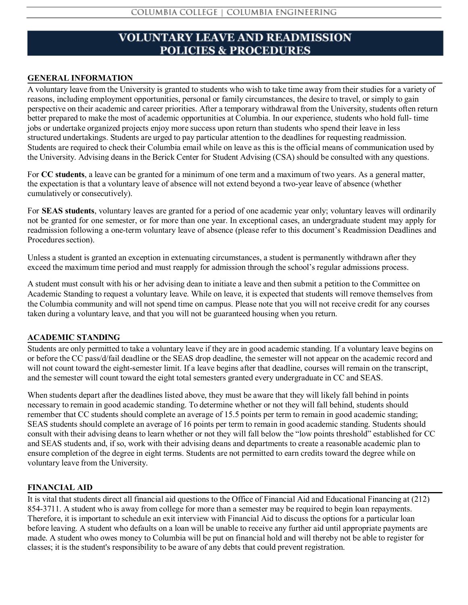# **VOLUNTARY LEAVE AND READMISSION POLICIES & PROCEDURES**

# **GENERAL INFORMATION**

A voluntary leave from the University is granted to students who wish to take time away from their studies for a variety of reasons, including employment opportunities, personal or family circumstances, the desire to travel, or simply to gain perspective on their academic and career priorities. After a temporary withdrawal from the University, students often return better prepared to make the most of academic opportunities at Columbia. In our experience, students who hold full- time jobs or undertake organized projects enjoy more success upon return than students who spend their leave in less structured undertakings. Students are urged to pay particular attention to the deadlines for requesting readmission. Students are required to check their Columbia email while on leave as this is the official means of communication used by the University. Advising deans in the Berick Center for Student Advising (CSA) should be consulted with any questions.

For **CC students**, a leave can be granted for a minimum of one term and a maximum of two years. As a general matter, the expectation is that a voluntary leave of absence will not extend beyond a two-year leave of absence (whether cumulatively or consecutively).

For **SEAS students**, voluntary leaves are granted for a period of one academic year only; voluntary leaves will ordinarily not be granted for one semester, or for more than one year. In exceptional cases, an undergraduate student may apply for readmission following a one-term voluntary leave of absence (please refer to this document's Readmission Deadlines and Procedures section).

Unless a student is granted an exception in extenuating circumstances, a student is permanently withdrawn after they exceed the maximum time period and must reapply for admission through the school's regular admissions process.

A student must consult with his or her advising dean to initiate a leave and then submit a petition to the Committee on Academic Standing to request a voluntary leave. While on leave, it is expected that students will remove themselves from the Columbia community and will not spend time on campus. Please note that you will not receive credit for any courses taken during a voluntary leave, and that you will not be guaranteed housing when you return.

#### **ACADEMIC STANDING**

Students are only permitted to take a voluntary leave if they are in good academic standing. If a voluntary leave begins on or before the CC pass/d/fail deadline or the SEAS drop deadline, the semester will not appear on the academic record and will not count toward the eight-semester limit. If a leave begins after that deadline, courses will remain on the transcript, and the semester will count toward the eight total semesters granted every undergraduate in CC and SEAS.

When students depart after the deadlines listed above, they must be aware that they will likely fall behind in points necessary to remain in good academic standing. To determine whether or not they will fall behind, students should remember that CC students should complete an average of 15.5 points per term to remain in good academic standing; SEAS students should complete an average of 16 points per term to remain in good academic standing. Students should consult with their advising deans to learn whether or not they will fall below the "low points threshold" established for CC and SEAS students and, if so, work with their advising deans and departments to create a reasonable academic plan to ensure completion of the degree in eight terms. Students are not permitted to earn credits toward the degree while on voluntary leave from the University.

# **FINANCIAL AID**

It is vital that students direct all financial aid questions to the Office of Financial Aid and Educational Financing at (212) 854-3711. A student who is away from college for more than a semester may be required to begin loan repayments. Therefore, it is important to schedule an exit interview with Financial Aid to discuss the options for a particular loan before leaving. A student who defaults on a loan will be unable to receive any further aid until appropriate payments are made. A student who owes money to Columbia will be put on financial hold and will thereby not be able to register for classes; it is the student's responsibility to be aware of any debts that could prevent registration.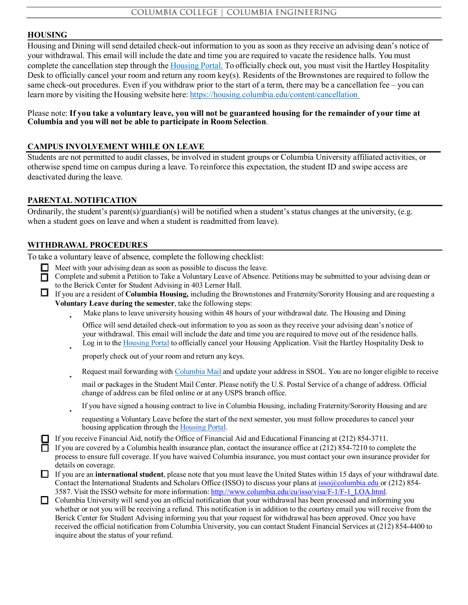#### **HOUSING**

Housing and Dining will send detailed check-out information to you as soon as they receive an advising dean's notice of your withdrawal. This email will include the date and time you are required to vacate the residence halls. You must complete the cancellation step through the [Housing](https://portalx.housing.columbia.edu/) Portal. To officially check out, you must visit the Hartley Hospitality Desk to officially cancel your room and return any room key(s). Residents of the Brownstones are required to follow the same check-out procedures. Even if you withdraw prior to the start of a term, there may be a cancellation fee – you can learn more by visiting the Housing website here: <https://housing.columbia.edu/content/cancellation>

#### Please note: If you take a voluntary leave, you will not be guaranteed housing for the remainder of your time at **Columbia and you will not be able to participate in Room Selection**.

## **CAMPUS INVOLVEMENT WHILE ON LEAVE**

Students are not permitted to audit classes, be involved in student groups or Columbia University affiliated activities, or otherwise spend time on campus during a leave. To reinforce this expectation, the student ID and swipe access are deactivated during the leave.

#### **PARENTAL NOTIFICATION**

Ordinarily, the student's parent(s)/guardian(s) will be notified when a student's status changes at the university, (e.g. when a student goes on leave and when a student is readmitted from leave).

#### **WITHDRAWAL PROCEDURES**

To take a voluntary leave of absence, complete the following checklist:

- $\Box$  Meet with your advising dean as soon as possible to discuss the leave.
- $\Box$  Complete and submit a Petition to Take a Voluntary Leave of Absence. Petitions may be submitted to your advising dean or to the Berick Center for Student Advising in 403 Lerner Hall.
- If you are a resident of **Columbia Housing,** including the Brownstones and Fraternity/Sorority Housing and are requesting a **Voluntary Leave during the semester**, take the following steps:
	- Make plans to leave university housing within 48 hours of your withdrawal date. The Housing and Dining
	- Office will send detailed check-out information to you as soon as they receive your advising dean's notice of your withdrawal. This email will include the date and time you are required to move out of the residence halls. Log in to the [Housing](https://portalx.housing.columbia.edu/) Portal to officially cancel your Housing Application. Visit the Hartley Hospitality Desk to

properly check out of your room and return any keys.

- Request mail forwarding with [Columbia](https://mailservices.columbia.edu/undergraduate-mail/forwarding-mail) Mail and update your address in SSOL. You are no longer eligible to receive
- mail or packages in the Student Mail Center. Please notify the U.S. Postal Service of a change of address. Official change of address can be filed online or at any USPS branch office.
- If you have signed a housing contract to live in Columbia Housing, including Fraternity/Sorority Housing and are
	- requesting a Voluntary Leave before the start of the next semester, you must follow procedures to cancel your housing application through the [Housing](https://portalx.housing.columbia.edu/06CCCEC4/1/1/Home-Home) Portal.
- If you receive Financial Aid, notify the Office of Financial Aid and Educational Financing at (212) 854-3711.
- If you are covered by a Columbia health insurance plan, contact the insurance office at  $(212) 854-7210$  to complete the process to ensure full coverage. If you have waived Columbia insurance, you must contact your own insurance provider for details on coverage.
- If you are an **international student**, please note that you must leave the United States within 15 days of your withdrawal date. Contact the International Students and Scholars Office (ISSO) to discuss your plans at [isso@columbia.edu](mailto:isso@columbia.edu) or (212) 854- 3587. Visit the ISSO website for more information: http://www.columbia.edu/cu/isso/visa/F-1/F-1\_LOA.html.
- Columbia University will send you an official notification that your withdrawal has been processed and informing you whether or not you will be receiving a refund. This notification is in addition to the courtesy email you will receive from the Berick Center for Student Advising informing you that your request for withdrawal has been approved. Once you have received the official notification from Columbia University, you can contact Student Financial Services at (212) 854-4400 to inquire about the status of your refund.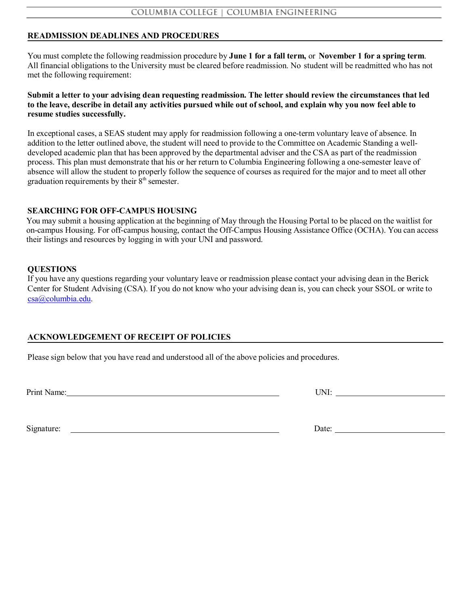# **READMISSION DEADLINES AND PROCEDURES**

You must complete the following readmission procedure by **June 1 for a fall term,** or **November 1 for a spring term**. All financial obligations to the University must be cleared before readmission. No student will be readmitted who has not met the following requirement:

Submit a letter to your advising dean requesting readmission. The letter should review the circumstances that led to the leave, describe in detail any activities pursued while out of school, and explain why you now feel able to **resume studies successfully.**

In exceptional cases, a SEAS student may apply for readmission following a one-term voluntary leave of absence. In addition to the letter outlined above, the student will need to provide to the Committee on Academic Standing a welldeveloped academic plan that has been approved by the departmental adviser and the CSA as part of the readmission process. This plan must demonstrate that his or her return to Columbia Engineering following a one-semester leave of absence will allow the student to properly follow the sequence of courses as required for the major and to meet all other graduation requirements by their  $8<sup>th</sup>$  semester.

## **SEARCHING FOR OFF-CAMPUS HOUSING**

You may submit a housing application at the beginning of May through the Housing Portal to be placed on the waitlist for on-campus Housing. For off-campus housing, contact the Off-Campus Housing Assistance Office (OCHA). You can access their listings and resources by logging in with your UNI and password.

## **QUESTIONS**

If you have any questions regarding your voluntary leave or readmission please contact your advising dean in the Berick Center for Student Advising (CSA). If you do not know who your advising dean is, you can check your SSOL or write to [csa@columbia.edu.](mailto:csa@columbia.edu)

# **ACKNOWLEDGEMENT OF RECEIPT OF POLICIES**

Please sign below that you have read and understood all of the above policies and procedures.

Print Name: UNI:

Signature: Date: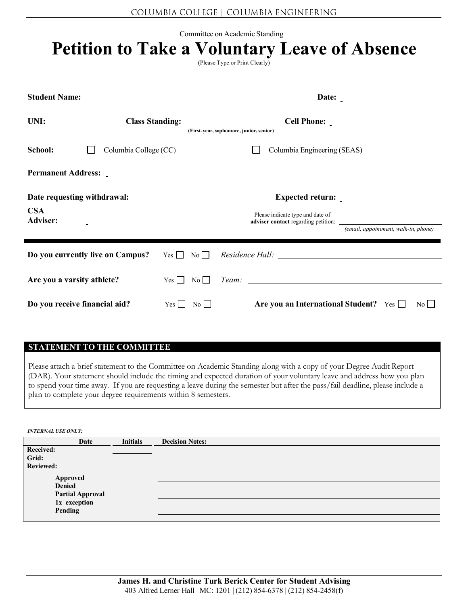Committee on Academic Standing

| Committee on Academic Standing<br><b>Petition to Take a Voluntary Leave of Absence</b><br>(Please Type or Print Clearly) |                                                                                         |                                                                                                                |                                                                  |  |  |  |
|--------------------------------------------------------------------------------------------------------------------------|-----------------------------------------------------------------------------------------|----------------------------------------------------------------------------------------------------------------|------------------------------------------------------------------|--|--|--|
| <b>Student Name:</b>                                                                                                     |                                                                                         | Date:                                                                                                          |                                                                  |  |  |  |
| UNI:                                                                                                                     | <b>Class Standing:</b><br><b>Cell Phone:</b><br>(First-year, sophomore, junior, senior) |                                                                                                                |                                                                  |  |  |  |
| School:<br>Columbia College (CC)                                                                                         |                                                                                         | Columbia Engineering (SEAS)                                                                                    |                                                                  |  |  |  |
| <b>Permanent Address:</b>                                                                                                |                                                                                         |                                                                                                                |                                                                  |  |  |  |
| Date requesting withdrawal:                                                                                              |                                                                                         | <b>Expected return:</b>                                                                                        |                                                                  |  |  |  |
| <b>CSA</b><br><b>Adviser:</b>                                                                                            |                                                                                         | Please indicate type and date of                                                                               | (email, appointment, walk-in, phone)                             |  |  |  |
| Do you currently live on Campus?                                                                                         | $Yes \mid \mid No \mid \mid$                                                            | Residence Hall: New York Channel All Channel And The Channel All Channel All Channel All Channel All Channel A |                                                                  |  |  |  |
| Are you a varsity athlete?                                                                                               | $Yes \mid \mid No \mid \mid$                                                            |                                                                                                                |                                                                  |  |  |  |
| Do you receive financial aid?                                                                                            | $Yes \mid \mid$<br>$\overline{N_0}$                                                     |                                                                                                                | Are you an International Student? Yes $\Box$<br>$\overline{N_0}$ |  |  |  |

## **STATEMENT TO THE COMMITTEE**

Please attach a brief statement to the Committee on Academic Standing along with a copy of your Degree Audit Report (DAR). Your statement should include the timing and expected duration of your voluntary leave and address how you plan to spend your time away. If you are requesting a leave during the semester but after the pass/fail deadline, please include a plan to complete your degree requirements within 8 semesters.

*INTERNAL USE ONLY:*

| Date                    | <b>Initials</b> | <b>Decision Notes:</b> |
|-------------------------|-----------------|------------------------|
| Received:               |                 |                        |
| Grid:                   |                 |                        |
| <b>Reviewed:</b>        |                 |                        |
| Approved                |                 |                        |
| <b>Denied</b>           |                 |                        |
| <b>Partial Approval</b> |                 |                        |
| 1x exception            |                 |                        |
| Pending                 |                 |                        |
|                         |                 |                        |